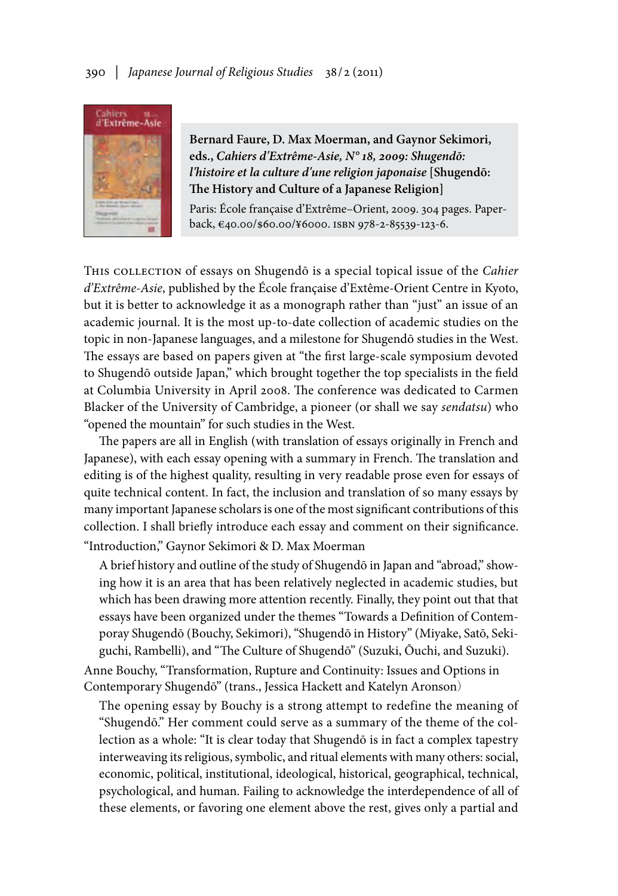

**Bernard Faure, D. Max Moerman, and Gaynor Sekimori, eds.,** *Cahiers d'Extrême-Asie, N° 18, 2009: Shugendō: l'histoire et la culture d'une religion japonaise* **[Shugendō: The History and Culture of a Japanese Religion]**

Paris: École française d'Extrême–Orient, 2009. 304 pages. Paperback, €40.00/\$60.00/¥6000. isbn 978-2-85539-123-6.

This collection of essays on Shugendō is a special topical issue of the *Cahier d'Extrême-Asie*, published by the École française d'Extême-Orient Centre in Kyoto, but it is better to acknowledge it as a monograph rather than "just" an issue of an academic journal. It is the most up-to-date collection of academic studies on the topic in non-Japanese languages, and a milestone for Shugendō studies in the West. The essays are based on papers given at "the first large-scale symposium devoted to Shugendō outside Japan," which brought together the top specialists in the field at Columbia University in April 2008. The conference was dedicated to Carmen Blacker of the University of Cambridge, a pioneer (or shall we say *sendatsu*) who "opened the mountain" for such studies in the West.

The papers are all in English (with translation of essays originally in French and Japanese), with each essay opening with a summary in French. The translation and editing is of the highest quality, resulting in very readable prose even for essays of quite technical content. In fact, the inclusion and translation of so many essays by many important Japanese scholars is one of the most significant contributions of this collection. I shall briefly introduce each essay and comment on their significance. "Introduction," Gaynor Sekimori & D. Max Moerman

A brief history and outline of the study of Shugendō in Japan and "abroad," showing how it is an area that has been relatively neglected in academic studies, but which has been drawing more attention recently. Finally, they point out that that essays have been organized under the themes "Towards a Definition of Contemporay Shugendō (Bouchy, Sekimori), "Shugendō in History" (Miyake, Satō, Sekiguchi, Rambelli), and "The Culture of Shugendō" (Suzuki, Ōuchi, and Suzuki). Anne Bouchy, "Transformation, Rupture and Continuity: Issues and Options in Contemporary Shugendō" (trans., Jessica Hackett and Katelyn Aronson)

The opening essay by Bouchy is a strong attempt to redefine the meaning of "Shugendō." Her comment could serve as a summary of the theme of the collection as a whole: "It is clear today that Shugendō is in fact a complex tapestry interweaving its religious, symbolic, and ritual elements with many others: social, economic, political, institutional, ideological, historical, geographical, technical, psychological, and human. Failing to acknowledge the interdependence of all of these elements, or favoring one element above the rest, gives only a partial and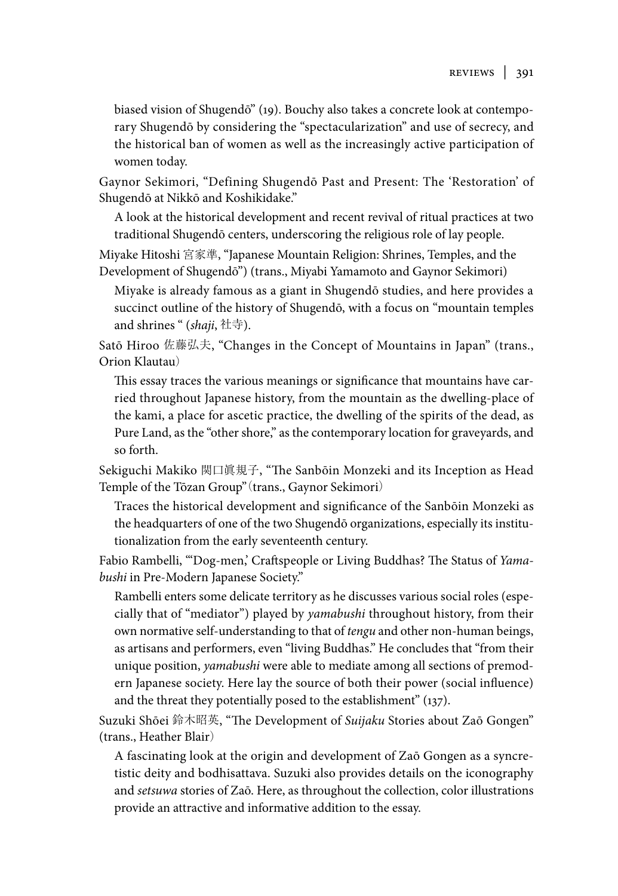biased vision of Shugendō" (19). Bouchy also takes a concrete look at contemporary Shugendō by considering the "spectacularization" and use of secrecy, and the historical ban of women as well as the increasingly active participation of women today.

Gaynor Sekimori, "Defining Shugendō Past and Present: The 'Restoration' of Shugendō at Nikkō and Koshikidake."

A look at the historical development and recent revival of ritual practices at two traditional Shugendō centers, underscoring the religious role of lay people.

Miyake Hitoshi 宮家準, "Japanese Mountain Religion: Shrines, Temples, and the Development of Shugendō") (trans., Miyabi Yamamoto and Gaynor Sekimori)

Miyake is already famous as a giant in Shugendō studies, and here provides a succinct outline of the history of Shugendō, with a focus on "mountain temples and shrines " (*shaji*, 社寺).

Satō Hiroo 佐藤弘夫, "Changes in the Concept of Mountains in Japan" (trans., Orion Klautau)

This essay traces the various meanings or significance that mountains have carried throughout Japanese history, from the mountain as the dwelling-place of the kami, a place for ascetic practice, the dwelling of the spirits of the dead, as Pure Land, as the "other shore," as the contemporary location for graveyards, and so forth.

Sekiguchi Makiko 関口眞規子, "The Sanbōin Monzeki and its Inception as Head Temple of the Tōzan Group"(trans., Gaynor Sekimori)

Traces the historical development and significance of the Sanbōin Monzeki as the headquarters of one of the two Shugendō organizations, especially its institutionalization from the early seventeenth century.

Fabio Rambelli, "'Dog-men,' Craftspeople or Living Buddhas? The Status of *Yamabushi* in Pre-Modern Japanese Society."

Rambelli enters some delicate territory as he discusses various social roles (especially that of "mediator") played by *yamabushi* throughout history, from their own normative self-understanding to that of *tengu* and other non-human beings, as artisans and performers, even "living Buddhas." He concludes that "from their unique position, *yamabushi* were able to mediate among all sections of premodern Japanese society. Here lay the source of both their power (social influence) and the threat they potentially posed to the establishment" (137).

Suzuki Shōei 鈴木昭英, "The Development of *Suijaku* Stories about Zaō Gongen" (trans., Heather Blair)

A fascinating look at the origin and development of Zaō Gongen as a syncretistic deity and bodhisattava. Suzuki also provides details on the iconography and *setsuwa* stories of Zaō. Here, as throughout the collection, color illustrations provide an attractive and informative addition to the essay.